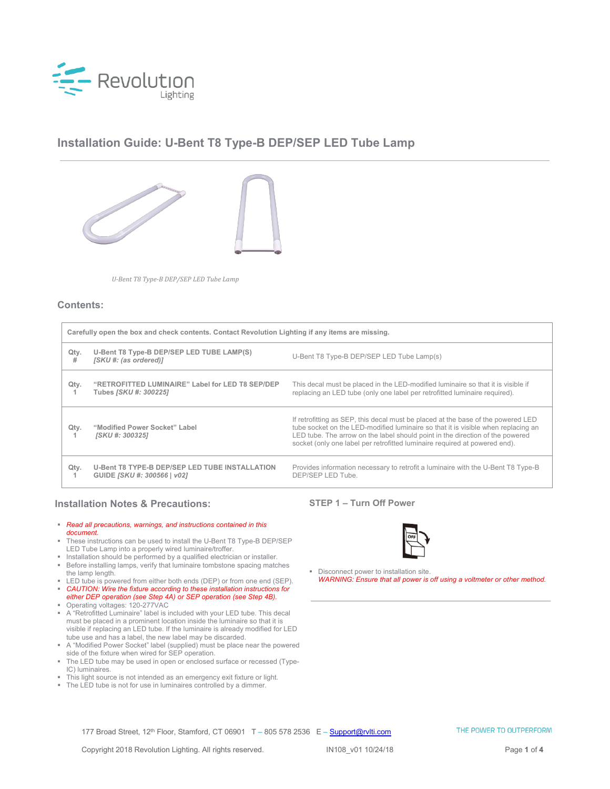

# **Installation Guide: U-Bent T8 Type-B DEP/SEP LED Tube Lamp**



*U-Bent T8 Type-B DEP/SEP LED Tube Lamp*

### **Contents:**

| Carefully open the box and check contents. Contact Revolution Lighting if any items are missing. |                                                                                      |                                                                                                                                                                                                                                                                                                                                      |
|--------------------------------------------------------------------------------------------------|--------------------------------------------------------------------------------------|--------------------------------------------------------------------------------------------------------------------------------------------------------------------------------------------------------------------------------------------------------------------------------------------------------------------------------------|
| Qty.<br>#                                                                                        | U-Bent T8 Type-B DEP/SEP LED TUBE LAMP(S)<br>[SKU #: (as ordered)]                   | U-Bent T8 Type-B DEP/SEP LED Tube Lamp(s)                                                                                                                                                                                                                                                                                            |
| Qty.<br>1                                                                                        | "RETROFITTED LUMINAIRE" Label for LED T8 SEP/DEP<br>Tubes <i>[SKU #: 300225]</i>     | This decal must be placed in the LED-modified luminaire so that it is visible if<br>replacing an LED tube (only one label per retrofitted luminaire required).                                                                                                                                                                       |
| Qty.                                                                                             | "Modified Power Socket" Label<br>[SKU #: 300325]                                     | If retrofitting as SEP, this decal must be placed at the base of the powered LED<br>tube socket on the LED-modified luminaire so that it is visible when replacing an<br>LED tube. The arrow on the label should point in the direction of the powered<br>socket (only one label per retrofitted luminaire required at powered end). |
| Qty.<br>1                                                                                        | <b>U-Bent T8 TYPE-B DEP/SEP LED TUBE INSTALLATION</b><br>GUIDE [SKU #: 300566   v02] | Provides information necessary to retrofit a luminaire with the U-Bent T8 Type-B<br>DEP/SEP LED Tube.                                                                                                                                                                                                                                |

## **Installation Notes & Precautions:**

- *Read all precautions, warnings, and instructions contained in this document.*
- These instructions can be used to install the U-Bent T8 Type-B DEP/SEP LED Tube Lamp into a properly wired luminaire/troffer.
- **Installation should be performed by a qualified electrician or installer. Before installing lamps, verify that luminaire tombstone spacing matches**
- the lamp length. **EXECUTE:** LED tube is powered from either both ends (DEP) or from one end (SEP).
- *CAUTION: Wire the fixture according to these installation instructions for*
- *either DEP operation (see Step 4A) or SEP operation (see Step 4B).* Operating voltages: 120-277VAC
- A "Retrofitted Luminaire" label is included with your LED tube. This decal must be placed in a prominent location inside the luminaire so that it is visible if replacing an LED tube. If the luminaire is already modified for LED tube use and has a label, the new label may be discarded.
- A "Modified Power Socket" label (supplied) must be place near the powered
- side of the fixture when wired for SEP operation. The LED tube may be used in open or enclosed surface or recessed (Type-IC) luminaires.
- This light source is not intended as an emergency exit fixture or light.
- The LED tube is not for use in luminaires controlled by a dimmer.

## **STEP 1 – Turn Off Power**



Disconnect power to installation site. *WARNING: Ensure that all power is off using a voltmeter or other method.*

177 Broad Street, 12<sup>th</sup> Floor, Stamford, CT 06901 T – 805 578 2536 E – **[Support@rvlti.com](mailto:Support@rvlti.com)**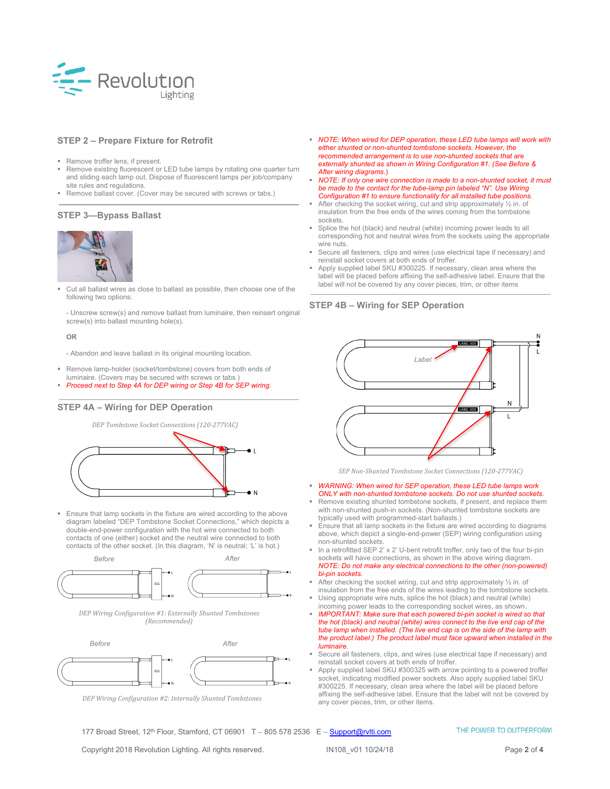

### **STEP 2 – Prepare Fixture for Retrofit**

- Remove troffer lens, if present.
- Remove existing fluorescent or LED tube lamps by rotating one quarter turn and sliding each lamp out. Dispose of fluorescent lamps per job/company site rules and regulations.
- Remove ballast cover. (Cover may be secured with screws or tabs.)

### **STEP 3—Bypass Ballast**



 Cut all ballast wires as close to ballast as possible, then choose one of the following two options:

- Unscrew screw(s) and remove ballast from luminaire, then reinsert original screw(s) into ballast mounting hole(s).

**OR**

- Abandon and leave ballast in its original mounting location.

- Remove lamp-holder (socket/tombstone) covers from both ends of luminaire. (Covers may be secured with screws or tabs.)
- *Proceed next to Step 4A for DEP wiring or Step 4B for SEP wiring.*

#### **STEP 4A – Wiring for DEP Operation**

*DEP Tombstone Socket Connections (120-277VAC)*



 Ensure that lamp sockets in the fixture are wired according to the above diagram labeled "DEP Tombstone Socket Connections," which depicts a double-end-power configuration with the hot wire connected to both contacts of one (either) socket and the neutral wire connected to both contacts of the other socket. (In this diagram, 'N' is neutral; 'L' is hot.)



*DEP Wiring Configuration #1: Externally Shunted Tombstones (Recommended)*



*DEP Wiring Configuration #2: Internally Shunted Tombstones*

 *NOTE: When wired for DEP operation, these LED tube lamps will work with either shunted or non-shunted tombstone sockets. However, the recommended arrangement is to use non-shunted sockets that are externally shunted as shown in Wiring Configuration #1. (See Before & After wiring diagrams*.)

- *NOTE: If only one wire connection is made to a non-shunted socket, it must be made to the contact for the tube-lamp pin labeled "N". Use Wiring Configuration #1 to ensure functionality for all installed tube positions.*
- After checking the socket wiring, cut and strip approximately  $\frac{1}{2}$  in. of insulation from the free ends of the wires coming from the tombstone sockets.
- Splice the hot (black) and neutral (white) incoming power leads to all corresponding hot and neutral wires from the sockets using the appropriate wire nuts.
- Secure all fasteners, clips and wires (use electrical tape if necessary) and reinstall socket covers at both ends of troffer.
- Apply supplied label SKU #300225. If necessary, clean area where the label will be placed before affixing the self-adhesive label. Ensure that the label will not be covered by any cover pieces, trim, or other items

#### **STEP 4B – Wiring for SEP Operation**



*SEP Non-Shunted Tombstone Socket Connections (120-277VAC)*

- *WARNING: When wired for SEP operation, these LED tube lamps work ONLY with non-shunted tombstone sockets. Do not use shunted sockets.*
- Remove existing shunted tombstone sockets, if present, and replace them with non-shunted push-in sockets. (Non-shunted tombstone sockets are typically used with programmed-start ballasts.)
- Ensure that all lamp sockets in the fixture are wired according to diagrams above, which depict a single-end-power (SEP) wiring configuration using non-shunted sockets.
- In a retrofitted SEP 2' x 2' U-bent retrofit troffer, only two of the four bi-pin sockets will have connections, as shown in the above wiring diagram. *NOTE: Do not make any electrical connections to the other (non-powered) bi-pin sockets.*
- After checking the socket wiring, cut and strip approximately ½ in. of insulation from the free ends of the wires leading to the tombstone sockets.
- Using appropriate wire nuts, splice the hot (black) and neutral (white) incoming power leads to the corresponding socket wires, as shown. *IMPORTANT: Make sure that each powered bi-pin socket is wired so that*
- *the hot (black) and neutral (white) wires connect to the live end cap of the tube lamp when installed. (The live end cap is on the side of the lamp with the product label.) The product label must face upward when installed in the luminaire.*
- Secure all fasteners, clips, and wires (use electrical tape if necessary) and reinstall socket covers at both ends of troffer.
- Apply supplied label SKU #300325 with arrow pointing to a powered troffer socket, indicating modified power sockets. Also apply supplied label SKU #300225. If necessary, clean area where the label will be placed before affixing the self-adhesive label. Ensure that the label will not be covered by any cover pieces, trim, or other items.

177 Broad Street, 12<sup>th</sup> Floor, Stamford, CT 06901 T - 805 578 2536 E - [Support@rvlti.com](mailto:Support@rvlti.com)

Copyright 2018 Revolution Lighting. All rights reserved. IN108\_v01 10/24/18 Page **2** of **4**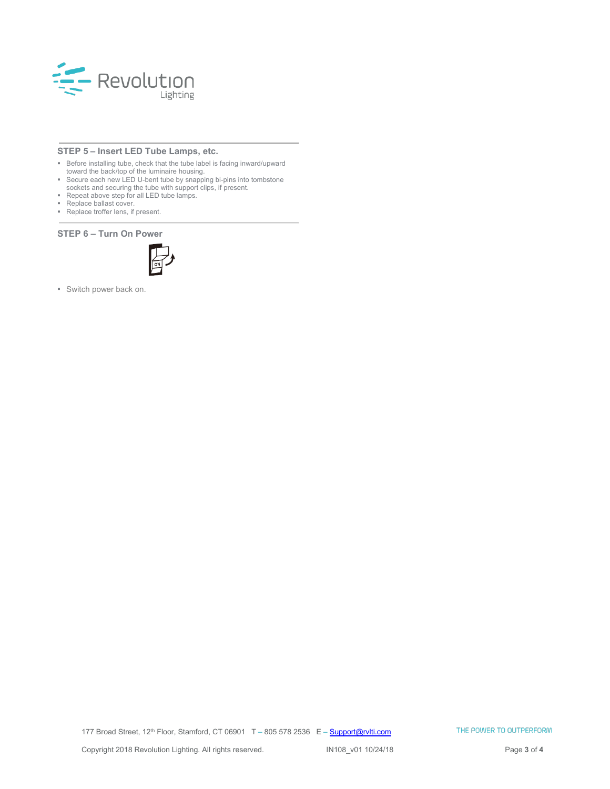

## **STEP 5 – Insert LED Tube Lamps, etc.**

- Before installing tube, check that the tube label is facing inward/upward
- toward the back/top of the luminaire housing. Secure each new LED U-bent tube by snapping bi-pins into tombstone
- sockets and securing the tube with support clips, if present. Repeat above step for all LED tube lamps.
- **Replace ballast cover.**
- Replace troffer lens, if present.

#### **STEP 6 – Turn On Power**



Switch power back on.

177 Broad Street, 12<sup>th</sup> Floor, Stamford, CT 06901 T - 805 578 2536 E - **[Support@rvlti.com](mailto:Support@rvlti.com)**